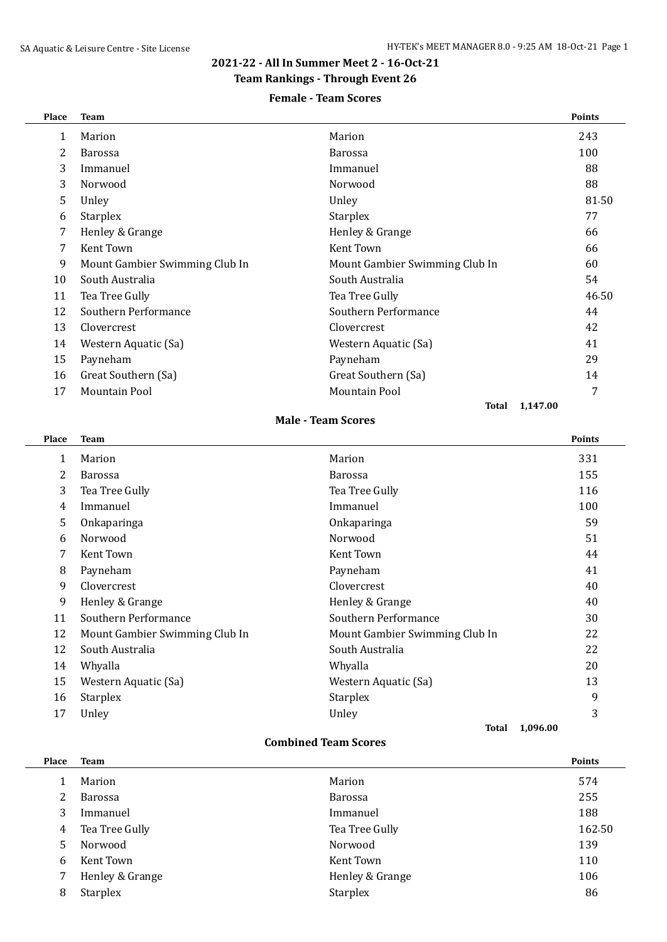## **2021-22 - All In Summer Meet 2 - 16-Oct-21**

## **Team Rankings - Through Event 26**

### **Female - Team Scores**

| Place        | <b>Team</b>                    |                                | <b>Points</b> |
|--------------|--------------------------------|--------------------------------|---------------|
| $\mathbf{1}$ | Marion                         | Marion                         | 243           |
| 2            | <b>Barossa</b>                 | <b>Barossa</b>                 | 100           |
| 3            | Immanuel                       | Immanuel                       | 88            |
| 3            | Norwood                        | Norwood                        | 88            |
| 5            | Unley                          | Unley                          | 81.50         |
| 6            | <b>Starplex</b>                | <b>Starplex</b>                | 77            |
| 7            | Henley & Grange                | Henley & Grange                | 66            |
| 7            | Kent Town                      | Kent Town                      | 66            |
| 9            | Mount Gambier Swimming Club In | Mount Gambier Swimming Club In | 60            |
| 10           | South Australia                | South Australia                | 54            |
| 11           | Tea Tree Gully                 | Tea Tree Gully                 | 46.50         |
| 12           | Southern Performance           | Southern Performance           | 44            |
| 13           | Clovercrest                    | Clovercrest                    | 42            |
| 14           | Western Aquatic (Sa)           | Western Aquatic (Sa)           | 41            |
| 15           | Payneham                       | Payneham                       | 29            |
| 16           | Great Southern (Sa)            | Great Southern (Sa)            | 14            |
| 17           | <b>Mountain Pool</b>           | <b>Mountain Pool</b>           | 7             |
|              |                                | 1,147.00<br>Total              |               |

#### **Male - Team Scores**

| Place | <b>Team</b>                    |                                | <b>Points</b> |
|-------|--------------------------------|--------------------------------|---------------|
| 1     | Marion                         | Marion                         | 331           |
| 2     | Barossa                        | <b>Barossa</b>                 | 155           |
| 3     | Tea Tree Gully                 | Tea Tree Gully                 | 116           |
| 4     | Immanuel                       | Immanuel                       | 100           |
| 5     | Onkaparinga                    | Onkaparinga                    | 59            |
| 6     | Norwood                        | Norwood                        | 51            |
| 7     | Kent Town                      | Kent Town                      | 44            |
| 8     | Payneham                       | Payneham                       | 41            |
| 9     | Clovercrest                    | Clovercrest                    | 40            |
| 9     | Henley & Grange                | Henley & Grange                | 40            |
| 11    | Southern Performance           | Southern Performance           | 30            |
| 12    | Mount Gambier Swimming Club In | Mount Gambier Swimming Club In | 22            |
| 12    | South Australia                | South Australia                | 22            |
| 14    | Whyalla                        | Whyalla                        | 20            |
| 15    | Western Aquatic (Sa)           | Western Aquatic (Sa)           | 13            |
| 16    | <b>Starplex</b>                | Starplex                       | 9             |
| 17    | Unley                          | Unley                          | 3             |
|       |                                | 1,096.00<br>Total              |               |

#### **Combined Team Scores**

| <b>Place</b> | <b>Team</b>     |                 | <b>Points</b> |
|--------------|-----------------|-----------------|---------------|
|              | Marion          | Marion          | 574           |
|              | <b>Barossa</b>  | <b>Barossa</b>  | 255           |
| 3            | Immanuel        | Immanuel        | 188           |
| 4            | Tea Tree Gully  | Tea Tree Gully  | 162.50        |
| 5.           | Norwood         | Norwood         | 139           |
| 6            | Kent Town       | Kent Town       | 110           |
|              | Henley & Grange | Henley & Grange | 106           |
| 8            | <b>Starplex</b> | <b>Starplex</b> | 86            |